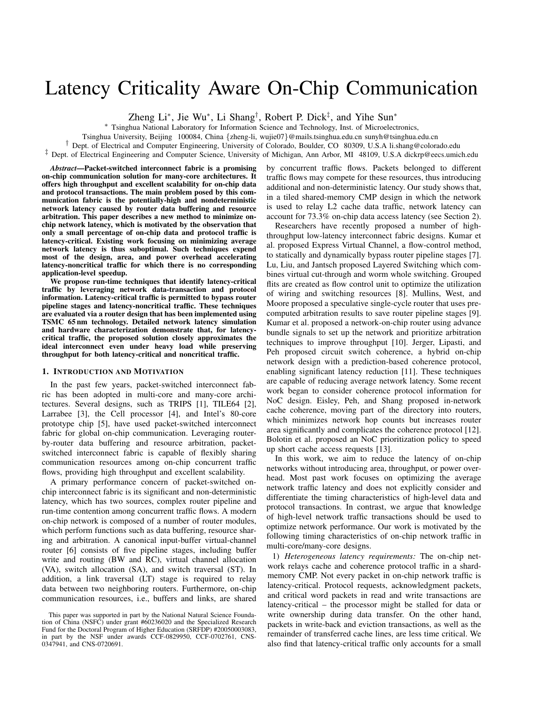# Latency Criticality Aware On-Chip Communication

Zheng Li<sup>∗</sup>, Jie Wu<sup>∗</sup>, Li Shang<sup>†</sup>, Robert P. Dick<sup>‡</sup>, and Yihe Sun<sup>∗</sup>

<sup>∗</sup> Tsinghua National Laboratory for Information Science and Technology, Inst. of Microelectronics,

Tsinghua University, Beijing 100084, China {zheng-li, wujie07}@mails.tsinghua.edu.cn sunyh@tsinghua.edu.cn

† Dept. of Electrical and Computer Engineering, University of Colorado, Boulder, CO 80309, U.S.A li.shang@colorado.edu

‡ Dept. of Electrical Engineering and Computer Science, University of Michigan, Ann Arbor, MI 48109, U.S.A dickrp@eecs.umich.edu

*Abstract*—Packet-switched interconnect fabric is a promising on-chip communication solution for many-core architectures. It offers high throughput and excellent scalability for on-chip data and protocol transactions. The main problem posed by this communication fabric is the potentially-high and nondeterministic network latency caused by router data buffering and resource arbitration. This paper describes a new method to minimize onchip network latency, which is motivated by the observation that only a small percentage of on-chip data and protocol traffic is latency-critical. Existing work focusing on minimizing average network latency is thus suboptimal. Such techniques expend most of the design, area, and power overhead accelerating latency-noncritical traffic for which there is no corresponding application-level speedup.

We propose run-time techniques that identify latency-critical traffic by leveraging network data-transaction and protocol information. Latency-critical traffic is permitted to bypass router pipeline stages and latency-noncritical traffic. These techniques are evaluated via a router design that has been implemented using TSMC 65 nm technology. Detailed network latency simulation and hardware characterization demonstrate that, for latencycritical traffic, the proposed solution closely approximates the ideal interconnect even under heavy load while preserving throughput for both latency-critical and noncritical traffic.

## 1. INTRODUCTION AND MOTIVATION

In the past few years, packet-switched interconnect fabric has been adopted in multi-core and many-core architectures. Several designs, such as TRIPS [1], TILE64 [2], Larrabee [3], the Cell processor [4], and Intel's 80-core prototype chip [5], have used packet-switched interconnect fabric for global on-chip communication. Leveraging routerby-router data buffering and resource arbitration, packetswitched interconnect fabric is capable of flexibly sharing communication resources among on-chip concurrent traffic flows, providing high throughput and excellent scalability.

A primary performance concern of packet-switched onchip interconnect fabric is its significant and non-deterministic latency, which has two sources, complex router pipeline and run-time contention among concurrent traffic flows. A modern on-chip network is composed of a number of router modules, which perform functions such as data buffering, resource sharing and arbitration. A canonical input-buffer virtual-channel router [6] consists of five pipeline stages, including buffer write and routing (BW and RC), virtual channel allocation (VA), switch allocation (SA), and switch traversal (ST). In addition, a link traversal (LT) stage is required to relay data between two neighboring routers. Furthermore, on-chip communication resources, i.e., buffers and links, are shared by concurrent traffic flows. Packets belonged to different traffic flows may compete for these resources, thus introducing additional and non-deterministic latency. Our study shows that, in a tiled shared-memory CMP design in which the network is used to relay L2 cache data traffic, network latency can account for 73.3% on-chip data access latency (see Section 2).

Researchers have recently proposed a number of highthroughput low-latency interconnect fabric designs. Kumar et al. proposed Express Virtual Channel, a flow-control method, to statically and dynamically bypass router pipeline stages [7]. Lu, Liu, and Jantsch proposed Layered Switching which combines virtual cut-through and worm whole switching. Grouped flits are created as flow control unit to optimize the utilization of wiring and switching resources [8]. Mullins, West, and Moore proposed a speculative single-cycle router that uses precomputed arbitration results to save router pipeline stages [9]. Kumar et al. proposed a network-on-chip router using advance bundle signals to set up the network and prioritize arbitration techniques to improve throughput [10]. Jerger, Lipasti, and Peh proposed circuit switch coherence, a hybrid on-chip network design with a prediction-based coherence protocol, enabling significant latency reduction [11]. These techniques are capable of reducing average network latency. Some recent work began to consider coherence protocol information for NoC design. Eisley, Peh, and Shang proposed in-network cache coherence, moving part of the directory into routers, which minimizes network hop counts but increases router area significantly and complicates the coherence protocol [12]. Bolotin et al. proposed an NoC prioritization policy to speed up short cache access requests [13].

In this work, we aim to reduce the latency of on-chip networks without introducing area, throughput, or power overhead. Most past work focuses on optimizing the average network traffic latency and does not explicitly consider and differentiate the timing characteristics of high-level data and protocol transactions. In contrast, we argue that knowledge of high-level network traffic transactions should be used to optimize network performance. Our work is motivated by the following timing characteristics of on-chip network traffic in multi-core/many-core designs.

1) *Heterogeneous latency requirements:* The on-chip network relays cache and coherence protocol traffic in a shardmemory CMP. Not every packet in on-chip network traffic is latency-critical. Protocol requests, acknowledgment packets, and critical word packets in read and write transactions are latency-critical – the processor might be stalled for data or write ownership during data transfer. On the other hand, packets in write-back and eviction transactions, as well as the remainder of transferred cache lines, are less time critical. We also find that latency-critical traffic only accounts for a small

This paper was supported in part by the National Natural Science Foundation of China (NSFC) under grant #60236020 and the Specialized Research Fund for the Doctoral Program of Higher Education (SRFDP) #20050003083, in part by the NSF under awards CCF-0829950, CCF-0702761, CNS-0347941, and CNS-0720691.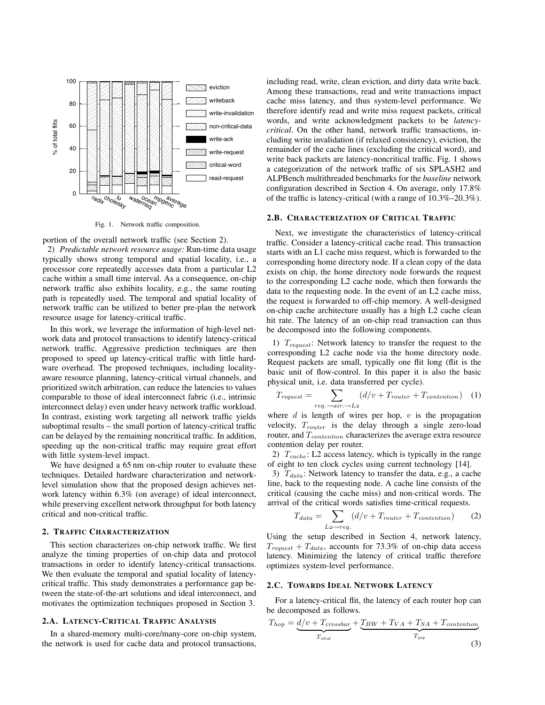

Fig. 1. Network traffic composition.

portion of the overall network traffic (see Section 2).

2) *Predictable network resource usage:* Run-time data usage typically shows strong temporal and spatial locality, i.e., a processor core repeatedly accesses data from a particular L2 cache within a small time interval. As a consequence, on-chip network traffic also exhibits locality, e.g., the same routing path is repeatedly used. The temporal and spatial locality of network traffic can be utilized to better pre-plan the network resource usage for latency-critical traffic.

In this work, we leverage the information of high-level network data and protocol transactions to identify latency-critical network traffic. Aggressive prediction techniques are then proposed to speed up latency-critical traffic with little hardware overhead. The proposed techniques, including localityaware resource planning, latency-critical virtual channels, and prioritized switch arbitration, can reduce the latencies to values comparable to those of ideal interconnect fabric (i.e., intrinsic interconnect delay) even under heavy network traffic workload. In contrast, existing work targeting all network traffic yields suboptimal results – the small portion of latency-critical traffic can be delayed by the remaining noncritical traffic. In addition, speeding up the non-critical traffic may require great effort with little system-level impact.

We have designed a 65 nm on-chip router to evaluate these techniques. Detailed hardware characterization and networklevel simulation show that the proposed design achieves network latency within 6.3% (on average) of ideal interconnect, while preserving excellent network throughput for both latency critical and non-critical traffic.

## 2. TRAFFIC CHARACTERIZATION

This section characterizes on-chip network traffic. We first analyze the timing properties of on-chip data and protocol transactions in order to identify latency-critical transactions. We then evaluate the temporal and spatial locality of latencycritical traffic. This study demonstrates a performance gap between the state-of-the-art solutions and ideal interconnect, and motivates the optimization techniques proposed in Section 3.

# 2.A. LATENCY-CRITICAL TRAFFIC ANALYSIS

In a shared-memory multi-core/many-core on-chip system, the network is used for cache data and protocol transactions,

including read, write, clean eviction, and dirty data write back. Among these transactions, read and write transactions impact cache miss latency, and thus system-level performance. We therefore identify read and write miss request packets, critical words, and write acknowledgment packets to be *latencycritical*. On the other hand, network traffic transactions, including write invalidation (if relaxed consistency), eviction, the remainder of the cache lines (excluding the critical word), and write back packets are latency-noncritical traffic. Fig. 1 shows a categorization of the network traffic of six SPLASH2 and ALPBench multithreaded benchmarks for the *baseline* network configuration described in Section 4. On average, only 17.8% of the traffic is latency-critical (with a range of 10.3%–20.3%).

#### 2.B. CHARACTERIZATION OF CRITICAL TRAFFIC

Next, we investigate the characteristics of latency-critical traffic. Consider a latency-critical cache read. This transaction starts with an L1 cache miss request, which is forwarded to the corresponding home directory node. If a clean copy of the data exists on chip, the home directory node forwards the request to the corresponding L2 cache node, which then forwards the data to the requesting node. In the event of an L2 cache miss, the request is forwarded to off-chip memory. A well-designed on-chip cache architecture usually has a high L2 cache clean hit rate. The latency of an on-chip read transaction can thus be decomposed into the following components.

1)  $T_{request}$ : Network latency to transfer the request to the corresponding L2 cache node via the home directory node. Request packets are small, typically one flit long (flit is the basic unit of flow-control. In this paper it is also the basic physical unit, i.e. data transferred per cycle).

$$
T_{request} = \sum_{req.\rightarrow air.\rightarrow L2} (d/v + T_{route} + T_{contention}) \quad (1)
$$

where  $d$  is length of wires per hop,  $v$  is the propagation velocity,  $T_{router}$  is the delay through a single zero-load router, and  $T_{contention}$  characterizes the average extra resource contention delay per router.

2)  $T_{cache}$ : L2 access latency, which is typically in the range of eight to ten clock cycles using current technology [14].

3)  $T<sub>data</sub>$ : Network latency to transfer the data, e.g., a cache line, back to the requesting node. A cache line consists of the critical (causing the cache miss) and non-critical words. The arrival of the critical words satisfies time-critical requests.

$$
T_{data} = \sum_{L_2 \to req.} (d/v + T_{router} + T_{contention}) \tag{2}
$$

Using the setup described in Section 4, network latency,  $T_{request} + T_{data}$ , accounts for 73.3% of on-chip data access latency. Minimizing the latency of critical traffic therefore optimizes system-level performance.

# 2.C. TOWARDS IDEAL NETWORK LATENCY

For a latency-critical flit, the latency of each router hop can be decomposed as follows.

$$
T_{hop} = \underbrace{d/v + T_{crossbar}}_{T_{ideal}} + \underbrace{T_{BW} + T_{VA} + T_{SA} + T_{contention}}_{T_{gap}} \tag{3}
$$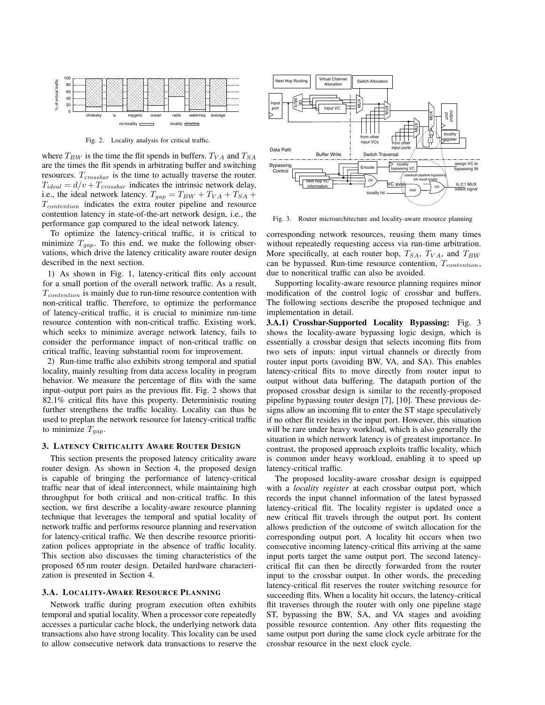

Fig. 2. Locality analysis for critical traffic.

where  $T_{BW}$  is the time the flit spends in buffers.  $T_{VA}$  and  $T_{SA}$ are the times the flit spends in arbitrating buffer and switching resources.  $T_{crossbar}$  is the time to actually traverse the router.  $T_{ideal} = d/v + T_{crossbar}$  indicates the intrinsic network delay, i.e., the ideal network latency.  $T_{gap} = T_{BW} + T_{VA} + T_{SA} + T_{SA}$  $T_{contention}$  indicates the extra router pipeline and resource contention latency in state-of-the-art network design, i.e., the performance gap compared to the ideal network latency.

To optimize the latency-critical traffic, it is critical to minimize  $T_{gap}$ . To this end, we make the following observations, which drive the latency criticality aware router design described in the next section.

1) As shown in Fig. 1, latency-critical flits only account for a small portion of the overall network traffic. As a result,  $T_{contention}$  is mainly due to run-time resource contention with non-critical traffic. Therefore, to optimize the performance of latency-critical traffic, it is crucial to minimize run-time resource contention with non-critical traffic. Existing work, which seeks to minimize average network latency, fails to consider the performance impact of non-critical traffic on critical traffic, leaving substantial room for improvement.

2) Run-time traffic also exhibits strong temporal and spatial locality, mainly resulting from data access locality in program behavior. We measure the percentage of flits with the same input–output port pairs as the previous flit. Fig. 2 shows that 82.1% critical flits have this property. Deterministic routing further strengthens the traffic locality. Locality can thus be used to preplan the network resource for latency-critical traffic to minimize  $T_{gap}$ .

## 3. LATENCY CRITICALITY AWARE ROUTER DESIGN

This section presents the proposed latency criticality aware router design. As shown in Section 4, the proposed design is capable of bringing the performance of latency-critical traffic near that of ideal interconnect, while maintaining high throughput for both critical and non-critical traffic. In this section, we first describe a locality-aware resource planning technique that leverages the temporal and spatial locality of network traffic and performs resource planning and reservation for latency-critical traffic. We then describe resource prioritization polices appropriate in the absence of traffic locality. This section also discusses the timing characteristics of the proposed 65 nm router design. Detailed hardware characterization is presented in Section 4.

## 3.A. LOCALITY-AWARE RESOURCE PLANNING

Network traffic during program execution often exhibits temporal and spatial locality. When a processor core repeatedly accesses a particular cache block, the underlying network data transactions also have strong locality. This locality can be used to allow consecutive network data transactions to reserve the



Fig. 3. Router microarchitecture and locality-aware resource planning

corresponding network resources, reusing them many times without repeatedly requesting access via run-time arbitration. More specifically, at each router hop,  $T_{SA}$ ,  $T_{VA}$ , and  $T_{BW}$ can be bypassed. Run-time resource contention,  $T_{contention}$ , due to noncritical traffic can also be avoided.

Supporting locality-aware resource planning requires minor modification of the control logic of crossbar and buffers. The following sections describe the proposed technique and implementation in detail.

3.A.1) Crossbar-Supported Locality Bypassing: Fig. 3 shows the locality-aware bypassing logic design, which is essentially a crossbar design that selects incoming flits from two sets of inputs: input virtual channels or directly from router input ports (avoiding BW, VA, and SA). This enables latency-critical flits to move directly from router input to output without data buffering. The datapath portion of the proposed crossbar design is similar to the recently-proposed pipeline bypassing router design [7], [10]. These previous designs allow an incoming flit to enter the ST stage speculatively if no other flit resides in the input port. However, this situation will be rare under heavy workload, which is also generally the situation in which network latency is of greatest importance. In contrast, the proposed approach exploits traffic locality, which is common under heavy workload, enabling it to speed up latency-critical traffic.

The proposed locality-aware crossbar design is equipped with a *locality register* at each crossbar output port, which records the input channel information of the latest bypassed latency-critical flit. The locality register is updated once a new critical flit travels through the output port. Its content allows prediction of the outcome of switch allocation for the corresponding output port. A locality hit occurs when two consecutive incoming latency-critical flits arriving at the same input ports target the same output port. The second latencycritical flit can then be directly forwarded from the router input to the crossbar output. In other words, the preceding latency-critical flit reserves the router switching resource for succeeding flits. When a locality hit occurs, the latency-critical flit traverses through the router with only one pipeline stage ST, bypassing the BW, SA, and VA stages and avoiding possible resource contention. Any other flits requesting the same output port during the same clock cycle arbitrate for the crossbar resource in the next clock cycle.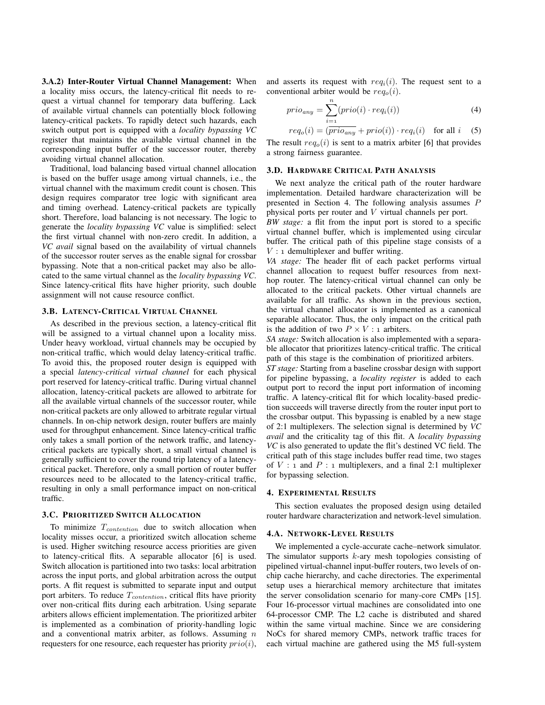3.A.2) Inter-Router Virtual Channel Management: When a locality miss occurs, the latency-critical flit needs to request a virtual channel for temporary data buffering. Lack of available virtual channels can potentially block following latency-critical packets. To rapidly detect such hazards, each switch output port is equipped with a *locality bypassing VC* register that maintains the available virtual channel in the corresponding input buffer of the successor router, thereby avoiding virtual channel allocation.

Traditional, load balancing based virtual channel allocation is based on the buffer usage among virtual channels, i.e., the virtual channel with the maximum credit count is chosen. This design requires comparator tree logic with significant area and timing overhead. Latency-critical packets are typically short. Therefore, load balancing is not necessary. The logic to generate the *locality bypassing VC* value is simplified: select the first virtual channel with non-zero credit. In addition, a *VC avail* signal based on the availability of virtual channels of the successor router serves as the enable signal for crossbar bypassing. Note that a non-critical packet may also be allocated to the same virtual channel as the *locality bypassing VC*. Since latency-critical flits have higher priority, such double assignment will not cause resource conflict.

# 3.B. LATENCY-CRITICAL VIRTUAL CHANNEL

As described in the previous section, a latency-critical flit will be assigned to a virtual channel upon a locality miss. Under heavy workload, virtual channels may be occupied by non-critical traffic, which would delay latency-critical traffic. To avoid this, the proposed router design is equipped with a special *latency-critical virtual channel* for each physical port reserved for latency-critical traffic. During virtual channel allocation, latency-critical packets are allowed to arbitrate for all the available virtual channels of the successor router, while non-critical packets are only allowed to arbitrate regular virtual channels. In on-chip network design, router buffers are mainly used for throughput enhancement. Since latency-critical traffic only takes a small portion of the network traffic, and latencycritical packets are typically short, a small virtual channel is generally sufficient to cover the round trip latency of a latencycritical packet. Therefore, only a small portion of router buffer resources need to be allocated to the latency-critical traffic, resulting in only a small performance impact on non-critical traffic.

#### 3.C. PRIORITIZED SWITCH ALLOCATION

To minimize  $T_{contention}$  due to switch allocation when locality misses occur, a prioritized switch allocation scheme is used. Higher switching resource access priorities are given to latency-critical flits. A separable allocator [6] is used. Switch allocation is partitioned into two tasks: local arbitration across the input ports, and global arbitration across the output ports. A flit request is submitted to separate input and output port arbiters. To reduce  $T_{contention}$ , critical flits have priority over non-critical flits during each arbitration. Using separate arbiters allows efficient implementation. The prioritized arbiter is implemented as a combination of priority-handling logic and a conventional matrix arbiter, as follows. Assuming  $n$ requesters for one resource, each requester has priority  $prio(i)$ ,

and asserts its request with  $req<sub>i</sub>(i)$ . The request sent to a conventional arbiter would be  $req<sub>o</sub>(i)$ .

$$
prio_{any} = \sum_{i=1}^{n} (prio(i) \cdot req_i(i))
$$
\n(4)

 $req<sub>o</sub>(i) = (\overline{prio_{any}} + prio(i)) \cdot req_i(i)$  for all i (5) The result  $req<sub>o</sub>(i)$  is sent to a matrix arbiter [6] that provides a strong fairness guarantee.

#### 3.D. HARDWARE CRITICAL PATH ANALYSIS

We next analyze the critical path of the router hardware implementation. Detailed hardware characterization will be presented in Section 4. The following analysis assumes P physical ports per router and V virtual channels per port.

*BW stage:* a flit from the input port is stored to a specific virtual channel buffer, which is implemented using circular buffer. The critical path of this pipeline stage consists of a  $V:1$  demultiplexer and buffer writing.

*VA stage:* The header flit of each packet performs virtual channel allocation to request buffer resources from nexthop router. The latency-critical virtual channel can only be allocated to the critical packets. Other virtual channels are available for all traffic. As shown in the previous section, the virtual channel allocator is implemented as a canonical separable allocator. Thus, the only impact on the critical path is the addition of two  $P \times V : 1$  arbiters.

*SA stage:* Switch allocation is also implemented with a separable allocator that prioritizes latency-critical traffic. The critical path of this stage is the combination of prioritized arbiters.

*ST stage:* Starting from a baseline crossbar design with support for pipeline bypassing, a *locality register* is added to each output port to record the input port information of incoming traffic. A latency-critical flit for which locality-based prediction succeeds will traverse directly from the router input port to the crossbar output. This bypassing is enabled by a new stage of 2:1 multiplexers. The selection signal is determined by *VC avail* and the criticality tag of this flit. A *locality bypassing VC* is also generated to update the flit's destined VC field. The critical path of this stage includes buffer read time, two stages of  $V:$  1 and  $P:$  1 multiplexers, and a final 2:1 multiplexer for bypassing selection.

#### 4. EXPERIMENTAL RESULTS

This section evaluates the proposed design using detailed router hardware characterization and network-level simulation.

## 4.A. NETWORK-LEVEL RESULTS

We implemented a cycle-accurate cache–network simulator. The simulator supports  $k$ -ary mesh topologies consisting of pipelined virtual-channel input-buffer routers, two levels of onchip cache hierarchy, and cache directories. The experimental setup uses a hierarchical memory architecture that imitates the server consolidation scenario for many-core CMPs [15]. Four 16-processor virtual machines are consolidated into one 64-processor CMP. The L2 cache is distributed and shared within the same virtual machine. Since we are considering NoCs for shared memory CMPs, network traffic traces for each virtual machine are gathered using the M5 full-system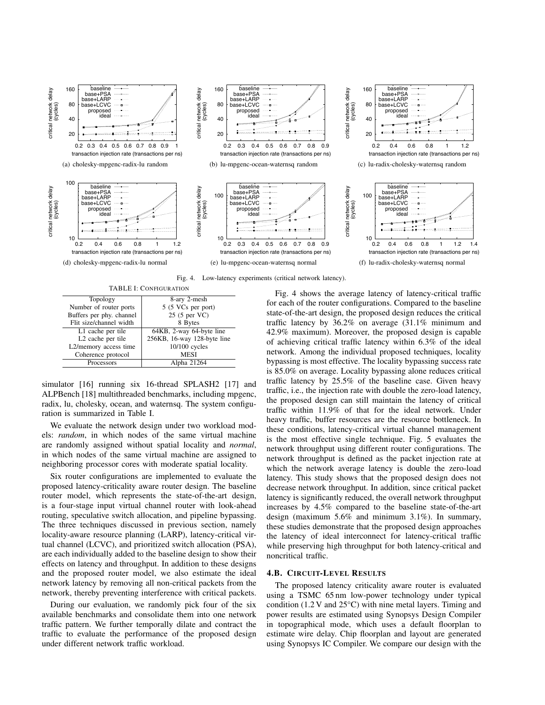

Fig. 4. Low-latency experiments (critical network latency).

| Topology                      | 8-ary 2-mesh                |  |
|-------------------------------|-----------------------------|--|
| Number of router ports        | 5 (5 VCs per port)          |  |
| Buffers per phy. channel      | 25 (5 per VC)               |  |
| Flit size/channel width       | 8 Bytes                     |  |
| L1 cache per tile             | 64KB, 2-way 64-byte line    |  |
| L <sub>2</sub> cache per tile | 256KB, 16-way 128-byte line |  |
| L2/memory access time         | 10/100 cycles               |  |
| Coherence protocol            | <b>MESI</b>                 |  |
| Processors                    | Alpha 21264                 |  |
|                               |                             |  |

TABLE I: CONFIGURATION

simulator [16] running six 16-thread SPLASH2 [17] and ALPBench [18] multithreaded benchmarks, including mpgenc, radix, lu, cholesky, ocean, and waternsq. The system configuration is summarized in Table I.

We evaluate the network design under two workload models: *random*, in which nodes of the same virtual machine are randomly assigned without spatial locality and *normal*, in which nodes of the same virtual machine are assigned to neighboring processor cores with moderate spatial locality.

Six router configurations are implemented to evaluate the proposed latency-criticality aware router design. The baseline router model, which represents the state-of-the-art design, is a four-stage input virtual channel router with look-ahead routing, speculative switch allocation, and pipeline bypassing. The three techniques discussed in previous section, namely locality-aware resource planning (LARP), latency-critical virtual channel (LCVC), and prioritized switch allocation (PSA), are each individually added to the baseline design to show their effects on latency and throughput. In addition to these designs and the proposed router model, we also estimate the ideal network latency by removing all non-critical packets from the network, thereby preventing interference with critical packets.

During our evaluation, we randomly pick four of the six available benchmarks and consolidate them into one network traffic pattern. We further temporally dilate and contract the traffic to evaluate the performance of the proposed design under different network traffic workload.

Fig. 4 shows the average latency of latency-critical traffic for each of the router configurations. Compared to the baseline state-of-the-art design, the proposed design reduces the critical traffic latency by 36.2% on average (31.1% minimum and 42.9% maximum). Moreover, the proposed design is capable of achieving critical traffic latency within 6.3% of the ideal network. Among the individual proposed techniques, locality bypassing is most effective. The locality bypassing success rate is 85.0% on average. Locality bypassing alone reduces critical traffic latency by 25.5% of the baseline case. Given heavy traffic, i.e., the injection rate with double the zero-load latency, the proposed design can still maintain the latency of critical traffic within 11.9% of that for the ideal network. Under heavy traffic, buffer resources are the resource bottleneck. In these conditions, latency-critical virtual channel management is the most effective single technique. Fig. 5 evaluates the network throughput using different router configurations. The network throughput is defined as the packet injection rate at which the network average latency is double the zero-load latency. This study shows that the proposed design does not decrease network throughput. In addition, since critical packet latency is significantly reduced, the overall network throughput increases by 4.5% compared to the baseline state-of-the-art design (maximum 5.6% and minimum 3.1%). In summary, these studies demonstrate that the proposed design approaches the latency of ideal interconnect for latency-critical traffic while preserving high throughput for both latency-critical and noncritical traffic.

## 4.B. CIRCUIT-LEVEL RESULTS

The proposed latency criticality aware router is evaluated using a TSMC 65 nm low-power technology under typical condition (1.2 V and 25°C) with nine metal layers. Timing and power results are estimated using Synopsys Design Compiler in topographical mode, which uses a default floorplan to estimate wire delay. Chip floorplan and layout are generated using Synopsys IC Compiler. We compare our design with the